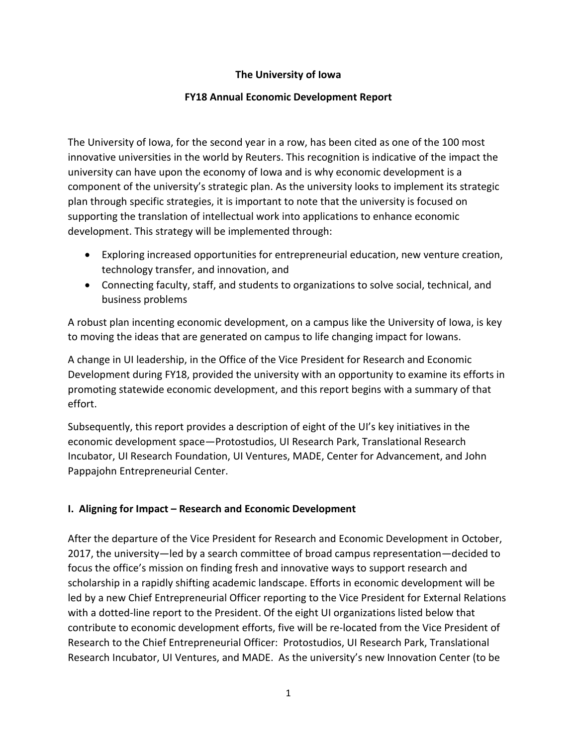### **The University of Iowa**

#### **FY18 Annual Economic Development Report**

The University of Iowa, for the second year in a row, has been cited as one of the 100 most innovative universities in the world by Reuters. This recognition is indicative of the impact the university can have upon the economy of Iowa and is why economic development is a component of the university's strategic plan. As the university looks to implement its strategic plan through specific strategies, it is important to note that the university is focused on supporting the translation of intellectual work into applications to enhance economic development. This strategy will be implemented through:

- Exploring increased opportunities for entrepreneurial education, new venture creation, technology transfer, and innovation, and
- Connecting faculty, staff, and students to organizations to solve social, technical, and business problems

A robust plan incenting economic development, on a campus like the University of Iowa, is key to moving the ideas that are generated on campus to life changing impact for Iowans.

A change in UI leadership, in the Office of the Vice President for Research and Economic Development during FY18, provided the university with an opportunity to examine its efforts in promoting statewide economic development, and this report begins with a summary of that effort.

Subsequently, this report provides a description of eight of the UI's key initiatives in the economic development space—Protostudios, UI Research Park, Translational Research Incubator, UI Research Foundation, UI Ventures, MADE, Center for Advancement, and John Pappajohn Entrepreneurial Center.

### **I. Aligning for Impact – Research and Economic Development**

After the departure of the Vice President for Research and Economic Development in October, 2017, the university—led by a search committee of broad campus representation—decided to focus the office's mission on finding fresh and innovative ways to support research and scholarship in a rapidly shifting academic landscape. Efforts in economic development will be led by a new Chief Entrepreneurial Officer reporting to the Vice President for External Relations with a dotted-line report to the President. Of the eight UI organizations listed below that contribute to economic development efforts, five will be re-located from the Vice President of Research to the Chief Entrepreneurial Officer: Protostudios, UI Research Park, Translational Research Incubator, UI Ventures, and MADE. As the university's new Innovation Center (to be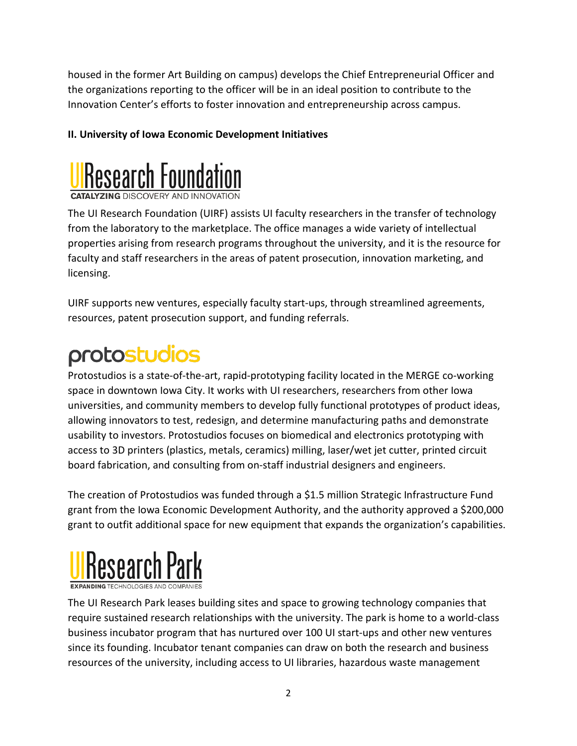housed in the former Art Building on campus) develops the Chief Entrepreneurial Officer and the organizations reporting to the officer will be in an ideal position to contribute to the Innovation Center's efforts to foster innovation and entrepreneurship across campus.

## **II. University of Iowa Economic Development Initiatives**



The UI Research Foundation (UIRF) assists UI faculty researchers in the transfer of technology from the laboratory to the marketplace. The office manages a wide variety of intellectual properties arising from research programs throughout the university, and it is the resource for faculty and staff researchers in the areas of patent prosecution, innovation marketing, and licensing.

UIRF supports new ventures, especially faculty start-ups, through streamlined agreements, resources, patent prosecution support, and funding referrals.

# protostudios

Protostudios is a state-of-the-art, rapid-prototyping facility located in the MERGE co-working space in downtown Iowa City. It works with UI researchers, researchers from other Iowa universities, and community members to develop fully functional prototypes of product ideas, allowing innovators to test, redesign, and determine manufacturing paths and demonstrate usability to investors. Protostudios focuses on biomedical and electronics prototyping with access to 3D printers (plastics, metals, ceramics) milling, laser/wet jet cutter, printed circuit board fabrication, and consulting from on-staff industrial designers and engineers.

The creation of Protostudios was funded through a \$1.5 million Strategic Infrastructure Fund grant from the Iowa Economic Development Authority, and the authority approved a \$200,000 grant to outfit additional space for new equipment that expands the organization's capabilities.



The UI Research Park leases building sites and space to growing technology companies that require sustained research relationships with the university. The park is home to a world-class business incubator program that has nurtured over 100 UI start-ups and other new ventures since its founding. Incubator tenant companies can draw on both the research and business resources of the university, including access to UI libraries, hazardous waste management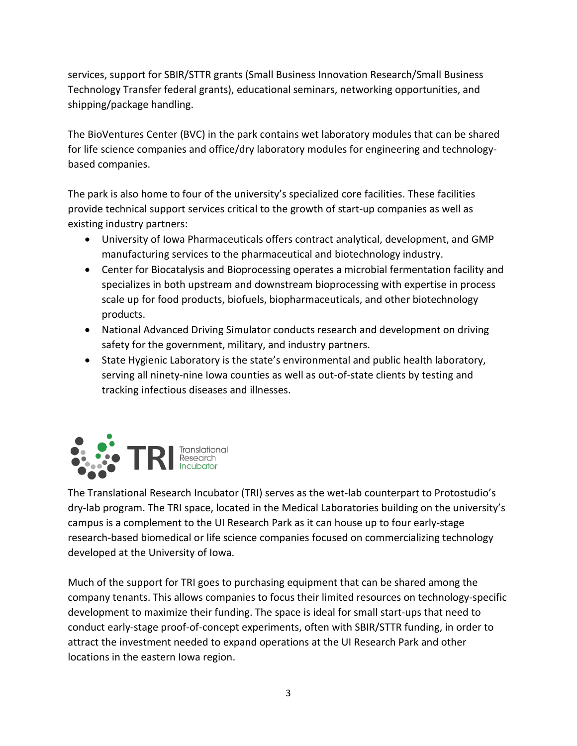services, support for SBIR/STTR grants (Small Business Innovation Research/Small Business Technology Transfer federal grants), educational seminars, networking opportunities, and shipping/package handling.

The BioVentures Center (BVC) in the park contains wet laboratory modules that can be shared for life science companies and office/dry laboratory modules for engineering and technologybased companies.

The park is also home to four of the university's specialized core facilities. These facilities provide technical support services critical to the growth of start-up companies as well as existing industry partners:

- University of Iowa Pharmaceuticals offers contract analytical, development, and GMP manufacturing services to the pharmaceutical and biotechnology industry.
- Center for Biocatalysis and Bioprocessing operates a microbial fermentation facility and specializes in both upstream and downstream bioprocessing with expertise in process scale up for food products, biofuels, biopharmaceuticals, and other biotechnology products.
- National Advanced Driving Simulator conducts research and development on driving safety for the government, military, and industry partners.
- State Hygienic Laboratory is the state's environmental and public health laboratory, serving all ninety-nine Iowa counties as well as out-of-state clients by testing and tracking infectious diseases and illnesses.



The Translational Research Incubator (TRI) serves as the wet-lab counterpart to Protostudio's dry-lab program. The TRI space, located in the Medical Laboratories building on the university's campus is a complement to the UI Research Park as it can house up to four early-stage research-based biomedical or life science companies focused on commercializing technology developed at the University of Iowa.

Much of the support for TRI goes to purchasing equipment that can be shared among the company tenants. This allows companies to focus their limited resources on technology-specific development to maximize their funding. The space is ideal for small start-ups that need to conduct early-stage proof-of-concept experiments, often with SBIR/STTR funding, in order to attract the investment needed to expand operations at the UI Research Park and other locations in the eastern Iowa region.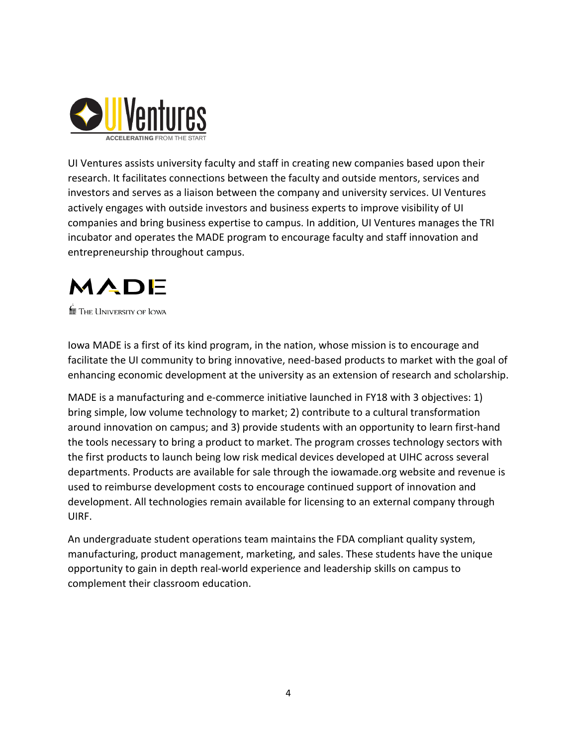

UI Ventures assists university faculty and staff in creating new companies based upon their research. It facilitates connections between the faculty and outside mentors, services and investors and serves as a liaison between the company and university services. UI Ventures actively engages with outside investors and business experts to improve visibility of UI companies and bring business expertise to campus. In addition, UI Ventures manages the TRI incubator and operates the MADE program to encourage faculty and staff innovation and entrepreneurship throughout campus.

# MADE

 $\stackrel{\leftarrow}{\mathbf{m}}$  The University of Iowa

Iowa MADE is a first of its kind program, in the nation, whose mission is to encourage and facilitate the UI community to bring innovative, need-based products to market with the goal of enhancing economic development at the university as an extension of research and scholarship.

MADE is a manufacturing and e-commerce initiative launched in FY18 with 3 objectives: 1) bring simple, low volume technology to market; 2) contribute to a cultural transformation around innovation on campus; and 3) provide students with an opportunity to learn first-hand the tools necessary to bring a product to market. The program crosses technology sectors with the first products to launch being low risk medical devices developed at UIHC across several departments. Products are available for sale through the iowamade.org website and revenue is used to reimburse development costs to encourage continued support of innovation and development. All technologies remain available for licensing to an external company through UIRF.

An undergraduate student operations team maintains the FDA compliant quality system, manufacturing, product management, marketing, and sales. These students have the unique opportunity to gain in depth real-world experience and leadership skills on campus to complement their classroom education.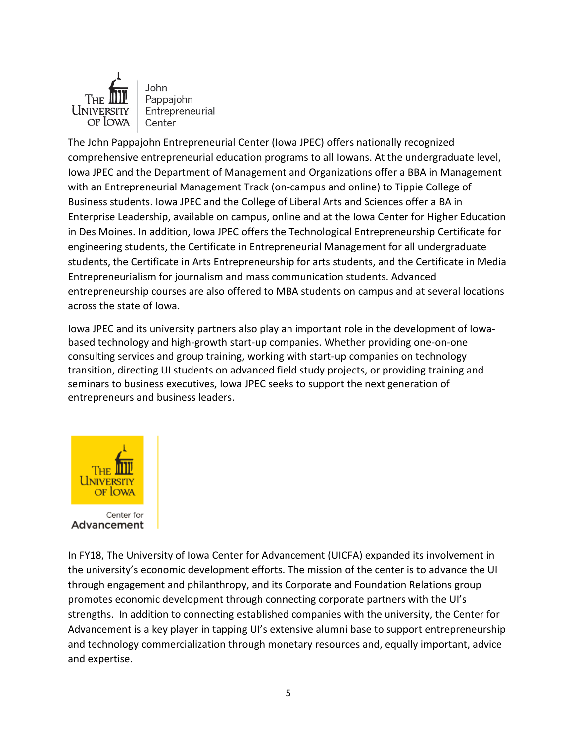

John Pappajohn Entrepreneurial Center

The John Pappajohn Entrepreneurial Center (Iowa JPEC) offers nationally recognized comprehensive entrepreneurial education programs to all Iowans. At the undergraduate level, Iowa JPEC and the Department of Management and Organizations offer a BBA in Management with an Entrepreneurial Management Track (on-campus and online) to Tippie College of Business students. Iowa JPEC and the College of Liberal Arts and Sciences offer a BA in Enterprise Leadership, available on campus, online and at the Iowa Center for Higher Education in Des Moines. In addition, Iowa JPEC offers the Technological Entrepreneurship Certificate for engineering students, the Certificate in Entrepreneurial Management for all undergraduate students, the Certificate in Arts Entrepreneurship for arts students, and the Certificate in Media Entrepreneurialism for journalism and mass communication students. Advanced entrepreneurship courses are also offered to MBA students on campus and at several locations across the state of Iowa.

Iowa JPEC and its university partners also play an important role in the development of Iowabased technology and high-growth start-up companies. Whether providing one-on-one consulting services and group training, working with start-up companies on technology transition, directing UI students on advanced field study projects, or providing training and seminars to business executives, Iowa JPEC seeks to support the next generation of entrepreneurs and business leaders.



Advancement

In FY18, The University of Iowa Center for Advancement (UICFA) expanded its involvement in the university's economic development efforts. The mission of the center is to advance the UI through engagement and philanthropy, and its Corporate and Foundation Relations group promotes economic development through connecting corporate partners with the UI's strengths. In addition to connecting established companies with the university, the Center for Advancement is a key player in tapping UI's extensive alumni base to support entrepreneurship and technology commercialization through monetary resources and, equally important, advice and expertise.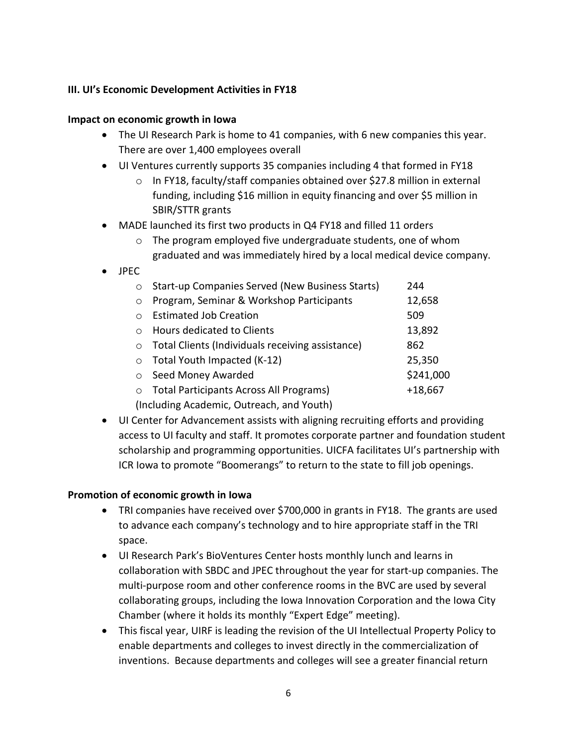#### **III. UI's Economic Development Activities in FY18**

#### **Impact on economic growth in Iowa**

- The UI Research Park is home to 41 companies, with 6 new companies this year. There are over 1,400 employees overall
- UI Ventures currently supports 35 companies including 4 that formed in FY18
	- o In FY18, faculty/staff companies obtained over \$27.8 million in external funding, including \$16 million in equity financing and over \$5 million in SBIR/STTR grants
- MADE launched its first two products in Q4 FY18 and filled 11 orders
	- o The program employed five undergraduate students, one of whom graduated and was immediately hired by a local medical device company.
- JPEC

| $\circ$                                   | Start-up Companies Served (New Business Starts)  | 244       |  |  |  |  |
|-------------------------------------------|--------------------------------------------------|-----------|--|--|--|--|
| $\circ$                                   | Program, Seminar & Workshop Participants         | 12,658    |  |  |  |  |
| $\bigcirc$                                | <b>Estimated Job Creation</b>                    | 509       |  |  |  |  |
| $\bigcirc$                                | <b>Hours dedicated to Clients</b>                | 13,892    |  |  |  |  |
| $\circ$                                   | Total Clients (Individuals receiving assistance) | 862       |  |  |  |  |
| $\circ$                                   | Total Youth Impacted (K-12)                      | 25,350    |  |  |  |  |
| $\circ$                                   | Seed Money Awarded                               | \$241,000 |  |  |  |  |
| $\circ$                                   | <b>Total Participants Across All Programs)</b>   | $+18,667$ |  |  |  |  |
| (Including Academic, Outreach, and Youth) |                                                  |           |  |  |  |  |

• UI Center for Advancement assists with aligning recruiting efforts and providing access to UI faculty and staff. It promotes corporate partner and foundation student scholarship and programming opportunities. UICFA facilitates UI's partnership with ICR Iowa to promote "Boomerangs" to return to the state to fill job openings.

#### **Promotion of economic growth in Iowa**

- TRI companies have received over \$700,000 in grants in FY18. The grants are used to advance each company's technology and to hire appropriate staff in the TRI space.
- UI Research Park's BioVentures Center hosts monthly lunch and learns in collaboration with SBDC and JPEC throughout the year for start-up companies. The multi-purpose room and other conference rooms in the BVC are used by several collaborating groups, including the Iowa Innovation Corporation and the Iowa City Chamber (where it holds its monthly "Expert Edge" meeting).
- This fiscal year, UIRF is leading the revision of the UI Intellectual Property Policy to enable departments and colleges to invest directly in the commercialization of inventions. Because departments and colleges will see a greater financial return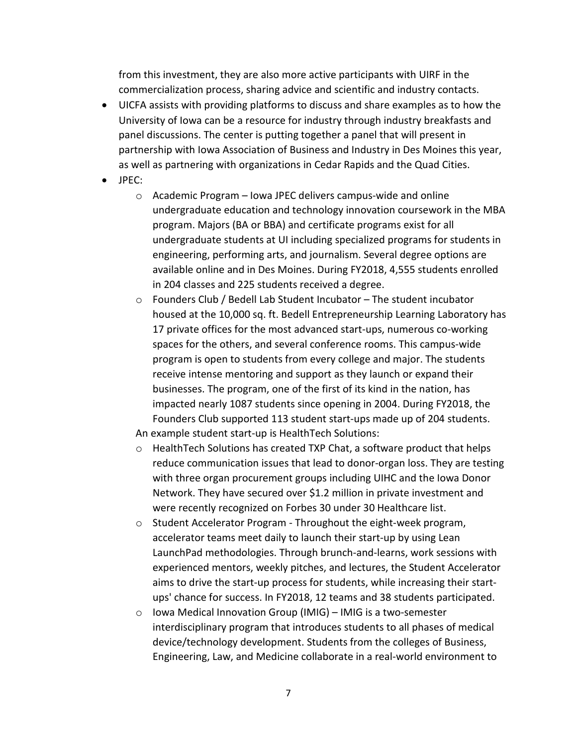from this investment, they are also more active participants with UIRF in the commercialization process, sharing advice and scientific and industry contacts.

- UICFA assists with providing platforms to discuss and share examples as to how the University of Iowa can be a resource for industry through industry breakfasts and panel discussions. The center is putting together a panel that will present in partnership with Iowa Association of Business and Industry in Des Moines this year, as well as partnering with organizations in Cedar Rapids and the Quad Cities.
- JPEC:
	- o Academic Program Iowa JPEC delivers campus-wide and online undergraduate education and technology innovation coursework in the MBA program. Majors (BA or BBA) and certificate programs exist for all undergraduate students at UI including specialized programs for students in engineering, performing arts, and journalism. Several degree options are available online and in Des Moines. During FY2018, 4,555 students enrolled in 204 classes and 225 students received a degree.
	- $\circ$  Founders Club / Bedell Lab Student Incubator The student incubator housed at the 10,000 sq. ft. Bedell Entrepreneurship Learning Laboratory has 17 private offices for the most advanced start-ups, numerous co-working spaces for the others, and several conference rooms. This campus-wide program is open to students from every college and major. The students receive intense mentoring and support as they launch or expand their businesses. The program, one of the first of its kind in the nation, has impacted nearly 1087 students since opening in 2004. During FY2018, the Founders Club supported 113 student start-ups made up of 204 students.

An example student start-up is HealthTech Solutions:

- $\circ$  Health Tech Solutions has created TXP Chat, a software product that helps reduce communication issues that lead to donor-organ loss. They are testing with three organ procurement groups including UIHC and the Iowa Donor Network. They have secured over \$1.2 million in private investment and were recently recognized on Forbes 30 under 30 Healthcare list.
- o Student Accelerator Program Throughout the eight-week program, accelerator teams meet daily to launch their start-up by using Lean LaunchPad methodologies. Through brunch-and-learns, work sessions with experienced mentors, weekly pitches, and lectures, the Student Accelerator aims to drive the start-up process for students, while increasing their startups' chance for success. In FY2018, 12 teams and 38 students participated.
- o Iowa Medical Innovation Group (IMIG) IMIG is a two-semester interdisciplinary program that introduces students to all phases of medical device/technology development. Students from the colleges of Business, Engineering, Law, and Medicine collaborate in a real-world environment to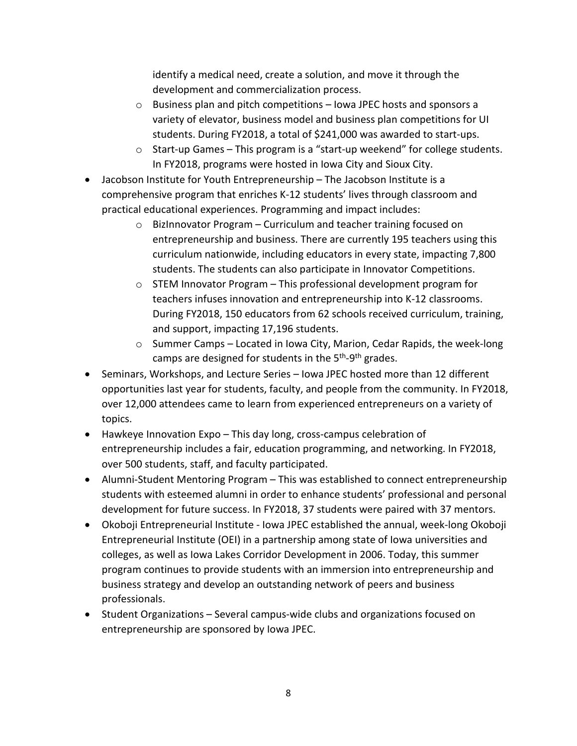identify a medical need, create a solution, and move it through the development and commercialization process.

- o Business plan and pitch competitions Iowa JPEC hosts and sponsors a variety of elevator, business model and business plan competitions for UI students. During FY2018, a total of \$241,000 was awarded to start-ups.
- o Start-up Games This program is a "start-up weekend" for college students. In FY2018, programs were hosted in Iowa City and Sioux City.
- Jacobson Institute for Youth Entrepreneurship The Jacobson Institute is a comprehensive program that enriches K-12 students' lives through classroom and practical educational experiences. Programming and impact includes:
	- o BizInnovator Program Curriculum and teacher training focused on entrepreneurship and business. There are currently 195 teachers using this curriculum nationwide, including educators in every state, impacting 7,800 students. The students can also participate in Innovator Competitions.
	- o STEM Innovator Program This professional development program for teachers infuses innovation and entrepreneurship into K-12 classrooms. During FY2018, 150 educators from 62 schools received curriculum, training, and support, impacting 17,196 students.
	- $\circ$  Summer Camps Located in Iowa City, Marion, Cedar Rapids, the week-long camps are designed for students in the 5<sup>th</sup>-9<sup>th</sup> grades.
- Seminars, Workshops, and Lecture Series Iowa JPEC hosted more than 12 different opportunities last year for students, faculty, and people from the community. In FY2018, over 12,000 attendees came to learn from experienced entrepreneurs on a variety of topics.
- Hawkeye Innovation Expo This day long, cross-campus celebration of entrepreneurship includes a fair, education programming, and networking. In FY2018, over 500 students, staff, and faculty participated.
- Alumni-Student Mentoring Program This was established to connect entrepreneurship students with esteemed alumni in order to enhance students' professional and personal development for future success. In FY2018, 37 students were paired with 37 mentors.
- Okoboji Entrepreneurial Institute Iowa JPEC established the annual, week-long Okoboji Entrepreneurial Institute (OEI) in a partnership among state of Iowa universities and colleges, as well as Iowa Lakes Corridor Development in 2006. Today, this summer program continues to provide students with an immersion into entrepreneurship and business strategy and develop an outstanding network of peers and business professionals.
- Student Organizations Several campus-wide clubs and organizations focused on entrepreneurship are sponsored by Iowa JPEC.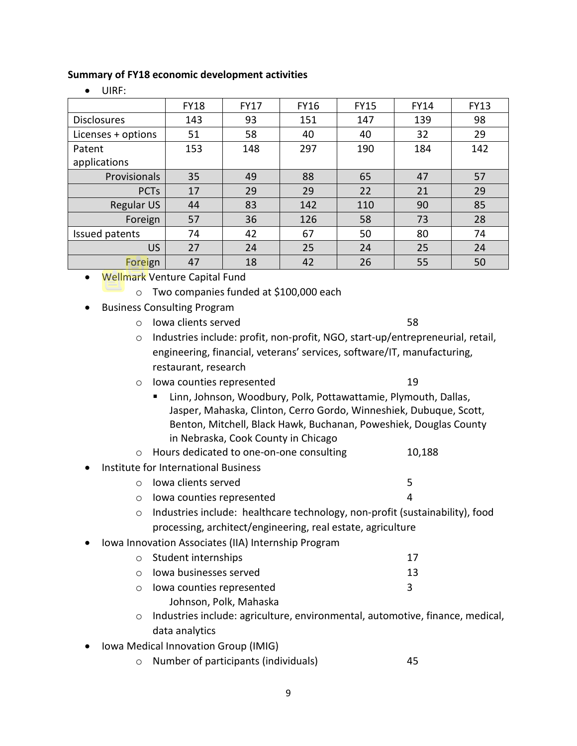#### **Summary of FY18 economic development activities**

| .                  |             |             |             |             |             |             |  |
|--------------------|-------------|-------------|-------------|-------------|-------------|-------------|--|
|                    | <b>FY18</b> | <b>FY17</b> | <b>FY16</b> | <b>FY15</b> | <b>FY14</b> | <b>FY13</b> |  |
| <b>Disclosures</b> | 143         | 93          | 151         | 147         | 139         | 98          |  |
| Licenses + options | 51          | 58          | 40          | 40          | 32          | 29          |  |
| Patent             | 153         | 148         | 297         | 190         | 184         | 142         |  |
| applications       |             |             |             |             |             |             |  |
| Provisionals       | 35          | 49          | 88          | 65          | 47          | 57          |  |
| <b>PCTs</b>        | 17          | 29          | 29          | 22          | 21          | 29          |  |
| <b>Regular US</b>  | 44          | 83          | 142         | 110         | 90          | 85          |  |
| Foreign            | 57          | 36          | 126         | 58          | 73          | 28          |  |
| Issued patents     | 74          | 42          | 67          | 50          | 80          | 74          |  |
| <b>US</b>          | 27          | 24          | 25          | 24          | 25          | 24          |  |
| Foreign            | 47          | 18          | 42          | 26          | 55          | 50          |  |
|                    |             |             |             |             |             |             |  |

• UIRF:

- Wellmark Venture Capital Fund
	- o Two companies funded at \$100,000 each
- Business Consulting Program
	- o Iowa clients served 58
	- o Industries include: profit, non-profit, NGO, start-up/entrepreneurial, retail, engineering, financial, veterans' services, software/IT, manufacturing, restaurant, research
	- o Iowa counties represented 19
		- Linn, Johnson, Woodbury, Polk, Pottawattamie, Plymouth, Dallas, Jasper, Mahaska, Clinton, Cerro Gordo, Winneshiek, Dubuque, Scott, Benton, Mitchell, Black Hawk, Buchanan, Poweshiek, Douglas County in Nebraska, Cook County in Chicago
	- o Hours dedicated to one-on-one consulting 10,188
- Institute for International Business
	- o Iowa clients served 5
	- o Iowa counties represented 4
	- o Industries include: healthcare technology, non-profit (sustainability), food processing, architect/engineering, real estate, agriculture
- Iowa Innovation Associates (IIA) Internship Program
	- o Student internships 17 o Iowa businesses served 13 o Iowa counties represented 3 Johnson, Polk, Mahaska
	- o Industries include: agriculture, environmental, automotive, finance, medical, data analytics
- Iowa Medical Innovation Group (IMIG)
	- o Number of participants (individuals) 45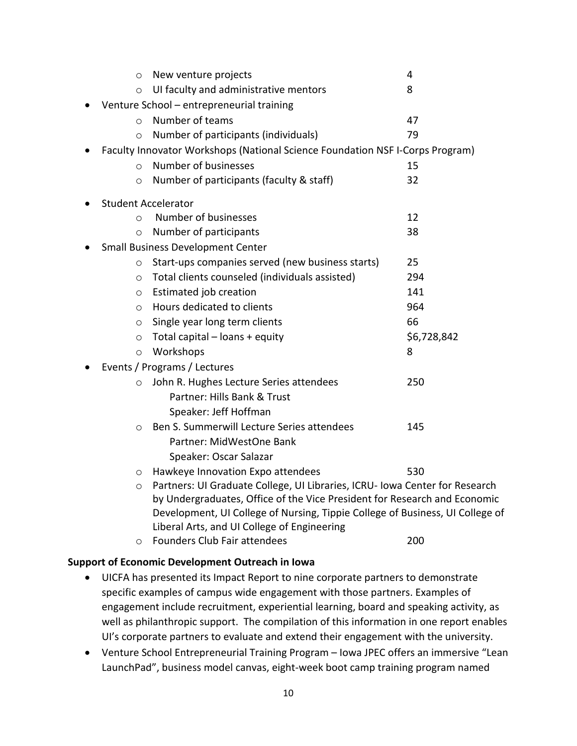| $\circ$                                   | New venture projects                                                          | 4           |  |  |  |  |
|-------------------------------------------|-------------------------------------------------------------------------------|-------------|--|--|--|--|
| $\circ$                                   | UI faculty and administrative mentors                                         | 8           |  |  |  |  |
| Venture School - entrepreneurial training |                                                                               |             |  |  |  |  |
| $\bigcirc$                                | Number of teams                                                               | 47          |  |  |  |  |
| $\circ$                                   | Number of participants (individuals)                                          | 79          |  |  |  |  |
|                                           | Faculty Innovator Workshops (National Science Foundation NSF I-Corps Program) |             |  |  |  |  |
| $\circ$                                   | Number of businesses                                                          | 15          |  |  |  |  |
| $\circ$                                   | Number of participants (faculty & staff)                                      | 32          |  |  |  |  |
|                                           | <b>Student Accelerator</b>                                                    |             |  |  |  |  |
| $\circ$                                   | Number of businesses                                                          | 12          |  |  |  |  |
| $\circ$                                   | Number of participants                                                        | 38          |  |  |  |  |
| <b>Small Business Development Center</b>  |                                                                               |             |  |  |  |  |
| $\circ$                                   | Start-ups companies served (new business starts)                              | 25          |  |  |  |  |
| $\circ$                                   | Total clients counseled (individuals assisted)                                | 294         |  |  |  |  |
| $\circ$                                   | Estimated job creation                                                        | 141         |  |  |  |  |
| $\circ$                                   | Hours dedicated to clients                                                    | 964         |  |  |  |  |
| $\circ$                                   | Single year long term clients                                                 | 66          |  |  |  |  |
| $\circ$                                   | Total capital $-$ loans $+$ equity                                            | \$6,728,842 |  |  |  |  |
| $\circ$                                   | Workshops                                                                     | 8           |  |  |  |  |
| Events / Programs / Lectures              |                                                                               |             |  |  |  |  |
| $\circ$                                   | John R. Hughes Lecture Series attendees                                       | 250         |  |  |  |  |
|                                           | Partner: Hills Bank & Trust                                                   |             |  |  |  |  |
|                                           | Speaker: Jeff Hoffman                                                         |             |  |  |  |  |
| $\circ$                                   | Ben S. Summerwill Lecture Series attendees                                    | 145         |  |  |  |  |
|                                           | Partner: MidWestOne Bank                                                      |             |  |  |  |  |
|                                           | Speaker: Oscar Salazar                                                        |             |  |  |  |  |
| $\circ$                                   | Hawkeye Innovation Expo attendees                                             | 530         |  |  |  |  |
| $\circ$                                   | Partners: UI Graduate College, UI Libraries, ICRU- Iowa Center for Research   |             |  |  |  |  |
|                                           | by Undergraduates, Office of the Vice President for Research and Economic     |             |  |  |  |  |
|                                           | Development, UI College of Nursing, Tippie College of Business, UI College of |             |  |  |  |  |
|                                           | Liberal Arts, and UI College of Engineering<br>Founders Club Fair attendees   | 200         |  |  |  |  |
| ∩                                         |                                                                               |             |  |  |  |  |

#### **Support of Economic Development Outreach in Iowa**

- UICFA has presented its Impact Report to nine corporate partners to demonstrate specific examples of campus wide engagement with those partners. Examples of engagement include recruitment, experiential learning, board and speaking activity, as well as philanthropic support. The compilation of this information in one report enables UI's corporate partners to evaluate and extend their engagement with the university.
- Venture School Entrepreneurial Training Program Iowa JPEC offers an immersive "Lean LaunchPad", business model canvas, eight-week boot camp training program named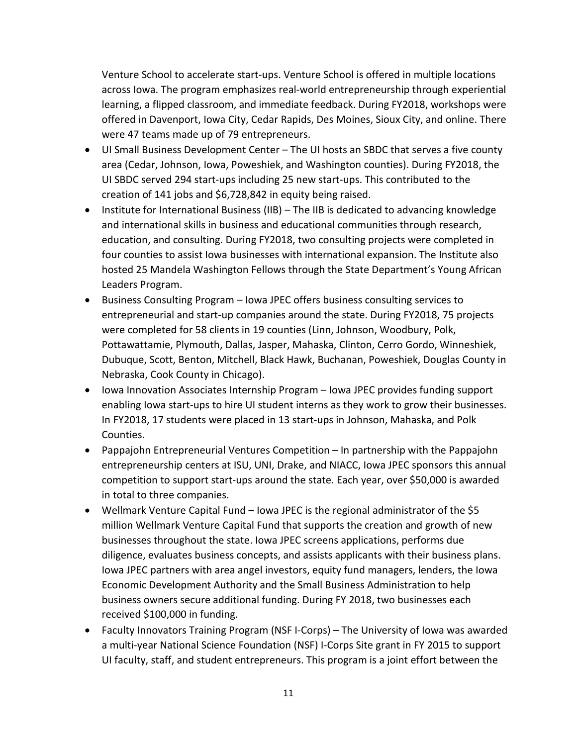Venture School to accelerate start-ups. Venture School is offered in multiple locations across Iowa. The program emphasizes real-world entrepreneurship through experiential learning, a flipped classroom, and immediate feedback. During FY2018, workshops were offered in Davenport, Iowa City, Cedar Rapids, Des Moines, Sioux City, and online. There were 47 teams made up of 79 entrepreneurs.

- UI Small Business Development Center The UI hosts an SBDC that serves a five county area (Cedar, Johnson, Iowa, Poweshiek, and Washington counties). During FY2018, the UI SBDC served 294 start-ups including 25 new start-ups. This contributed to the creation of 141 jobs and \$6,728,842 in equity being raised.
- Institute for International Business (IIB) The IIB is dedicated to advancing knowledge and international skills in business and educational communities through research, education, and consulting. During FY2018, two consulting projects were completed in four counties to assist Iowa businesses with international expansion. The Institute also hosted 25 Mandela Washington Fellows through the State Department's Young African Leaders Program.
- Business Consulting Program Iowa JPEC offers business consulting services to entrepreneurial and start-up companies around the state. During FY2018, 75 projects were completed for 58 clients in 19 counties (Linn, Johnson, Woodbury, Polk, Pottawattamie, Plymouth, Dallas, Jasper, Mahaska, Clinton, Cerro Gordo, Winneshiek, Dubuque, Scott, Benton, Mitchell, Black Hawk, Buchanan, Poweshiek, Douglas County in Nebraska, Cook County in Chicago).
- Iowa Innovation Associates Internship Program Iowa JPEC provides funding support enabling Iowa start-ups to hire UI student interns as they work to grow their businesses. In FY2018, 17 students were placed in 13 start-ups in Johnson, Mahaska, and Polk Counties.
- Pappajohn Entrepreneurial Ventures Competition In partnership with the Pappajohn entrepreneurship centers at ISU, UNI, Drake, and NIACC, Iowa JPEC sponsors this annual competition to support start-ups around the state. Each year, over \$50,000 is awarded in total to three companies.
- Wellmark Venture Capital Fund Iowa JPEC is the regional administrator of the \$5 million Wellmark Venture Capital Fund that supports the creation and growth of new businesses throughout the state. Iowa JPEC screens applications, performs due diligence, evaluates business concepts, and assists applicants with their business plans. Iowa JPEC partners with area angel investors, equity fund managers, lenders, the Iowa Economic Development Authority and the Small Business Administration to help business owners secure additional funding. During FY 2018, two businesses each received \$100,000 in funding.
- Faculty Innovators Training Program (NSF I-Corps) The University of Iowa was awarded a multi-year National Science Foundation (NSF) I-Corps Site grant in FY 2015 to support UI faculty, staff, and student entrepreneurs. This program is a joint effort between the